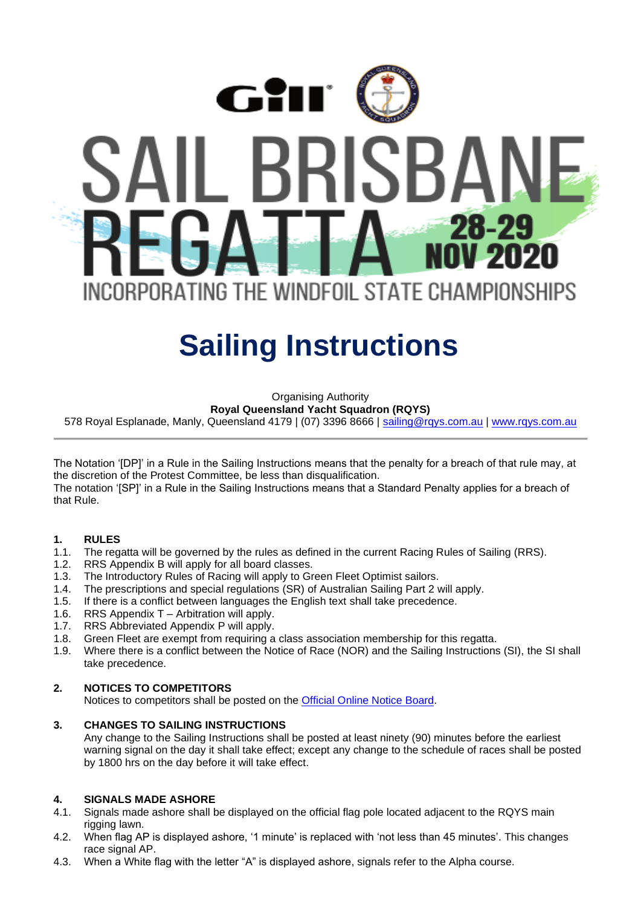

# **Sailing Instructions**

Organising Authority

**Royal Queensland Yacht Squadron (RQYS)**

578 Royal Esplanade, Manly, Queensland 4179 | (07) 3396 8666 | [sailing@rqys.com.au](mailto:sailing@rqys.com.au) | [www.rqys.com.au](http://www.rqys.com.au/)

The Notation '[DP]' in a Rule in the Sailing Instructions means that the penalty for a breach of that rule may, at the discretion of the Protest Committee, be less than disqualification.

The notation '[SP]' in a Rule in the Sailing Instructions means that a Standard Penalty applies for a breach of that Rule.

#### **1. RULES**

- 1.1. The regatta will be governed by the rules as defined in the current Racing Rules of Sailing (RRS).
- 1.2. RRS Appendix B will apply for all board classes.
- 1.3. The Introductory Rules of Racing will apply to Green Fleet Optimist sailors.
- 1.4. The prescriptions and special regulations (SR) of Australian Sailing Part 2 will apply.
- 1.5. If there is a conflict between languages the English text shall take precedence.
- 1.6. RRS Appendix T Arbitration will apply.
- 1.7. RRS Abbreviated Appendix P will apply.
- 1.8. Green Fleet are exempt from requiring a class association membership for this regatta.
- 1.9. Where there is a conflict between the Notice of Race (NOR) and the Sailing Instructions (SI), the SI shall take precedence.

#### **2. NOTICES TO COMPETITORS**

Notices to competitors shall be posted on the Official [Online Notice Board.](https://www.rqys.com.au/sailingnoticeboard/)

#### **3. CHANGES TO SAILING INSTRUCTIONS**

Any change to the Sailing Instructions shall be posted at least ninety (90) minutes before the earliest warning signal on the day it shall take effect; except any change to the schedule of races shall be posted by 1800 hrs on the day before it will take effect.

### **4. SIGNALS MADE ASHORE**

- 4.1. Signals made ashore shall be displayed on the official flag pole located adjacent to the RQYS main rigging lawn.
- 4.2. When flag AP is displayed ashore, '1 minute' is replaced with 'not less than 45 minutes'. This changes race signal AP.
- 4.3. When a White flag with the letter "A" is displayed ashore, signals refer to the Alpha course.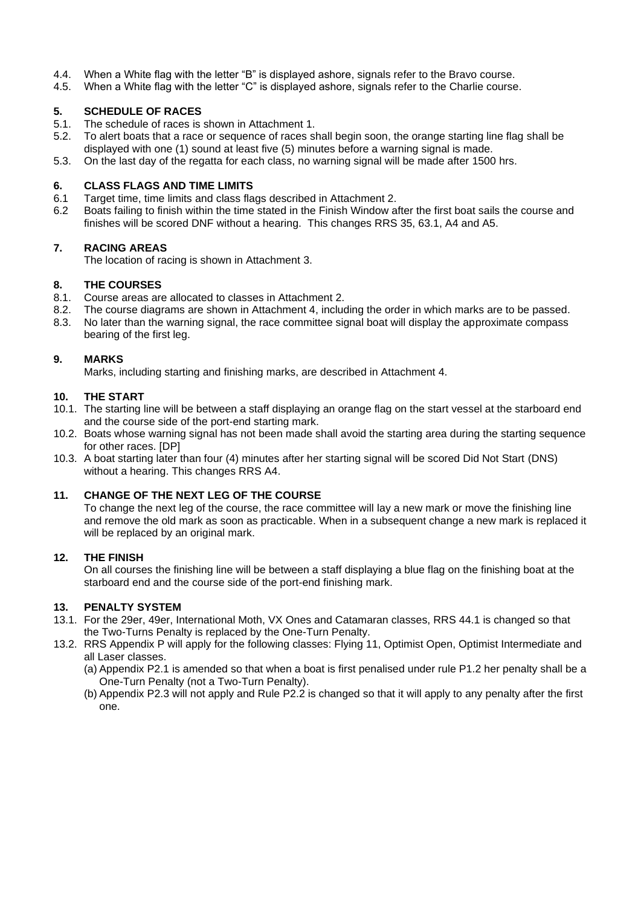- 4.4. When a White flag with the letter "B" is displayed ashore, signals refer to the Bravo course.
- 4.5. When a White flag with the letter "C" is displayed ashore, signals refer to the Charlie course.

#### **5. SCHEDULE OF RACES**

- 5.1. The schedule of races is shown in Attachment 1.
- 5.2. To alert boats that a race or sequence of races shall begin soon, the orange starting line flag shall be displayed with one (1) sound at least five (5) minutes before a warning signal is made.
- 5.3. On the last day of the regatta for each class, no warning signal will be made after 1500 hrs.

#### **6. CLASS FLAGS AND TIME LIMITS**

- 6.1 Target time, time limits and class flags described in Attachment 2.
- 6.2 Boats failing to finish within the time stated in the Finish Window after the first boat sails the course and finishes will be scored DNF without a hearing. This changes RRS 35, 63.1, A4 and A5.

#### **7. RACING AREAS**

The location of racing is shown in Attachment 3.

#### **8. THE COURSES**

- 8.1. Course areas are allocated to classes in Attachment 2.
- 8.2. The course diagrams are shown in Attachment 4, including the order in which marks are to be passed.
- 8.3. No later than the warning signal, the race committee signal boat will display the approximate compass bearing of the first leg.

#### **9. MARKS**

Marks, including starting and finishing marks, are described in Attachment 4.

#### **10. THE START**

- 10.1. The starting line will be between a staff displaying an orange flag on the start vessel at the starboard end and the course side of the port-end starting mark.
- 10.2. Boats whose warning signal has not been made shall avoid the starting area during the starting sequence for other races. [DP]
- 10.3. A boat starting later than four (4) minutes after her starting signal will be scored Did Not Start (DNS) without a hearing. This changes RRS A4.

#### **11. CHANGE OF THE NEXT LEG OF THE COURSE**

To change the next leg of the course, the race committee will lay a new mark or move the finishing line and remove the old mark as soon as practicable. When in a subsequent change a new mark is replaced it will be replaced by an original mark.

#### **12. THE FINISH**

On all courses the finishing line will be between a staff displaying a blue flag on the finishing boat at the starboard end and the course side of the port-end finishing mark.

#### **13. PENALTY SYSTEM**

- 13.1. For the 29er, 49er, International Moth, VX Ones and Catamaran classes, RRS 44.1 is changed so that the Two-Turns Penalty is replaced by the One-Turn Penalty.
- 13.2. RRS Appendix P will apply for the following classes: Flying 11, Optimist Open, Optimist Intermediate and all Laser classes.
	- (a) Appendix P2.1 is amended so that when a boat is first penalised under rule P1.2 her penalty shall be a One-Turn Penalty (not a Two-Turn Penalty).
	- (b) Appendix P2.3 will not apply and Rule P2.2 is changed so that it will apply to any penalty after the first one.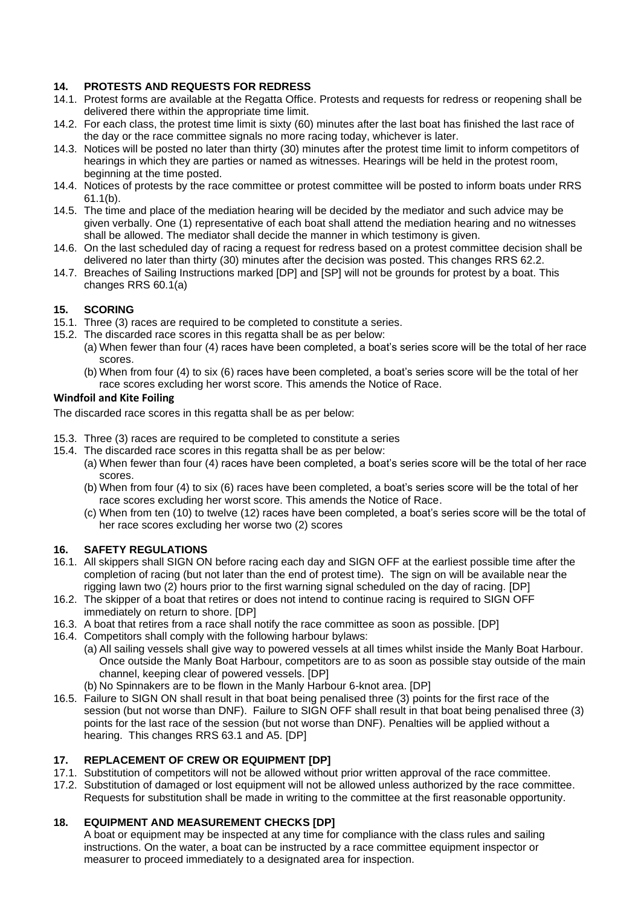### **14. PROTESTS AND REQUESTS FOR REDRESS**

- 14.1. Protest forms are available at the Regatta Office. Protests and requests for redress or reopening shall be delivered there within the appropriate time limit.
- 14.2. For each class, the protest time limit is sixty (60) minutes after the last boat has finished the last race of the day or the race committee signals no more racing today, whichever is later.
- 14.3. Notices will be posted no later than thirty (30) minutes after the protest time limit to inform competitors of hearings in which they are parties or named as witnesses. Hearings will be held in the protest room, beginning at the time posted.
- 14.4. Notices of protests by the race committee or protest committee will be posted to inform boats under RRS 61.1(b).
- 14.5. The time and place of the mediation hearing will be decided by the mediator and such advice may be given verbally. One (1) representative of each boat shall attend the mediation hearing and no witnesses shall be allowed. The mediator shall decide the manner in which testimony is given.
- 14.6. On the last scheduled day of racing a request for redress based on a protest committee decision shall be delivered no later than thirty (30) minutes after the decision was posted. This changes RRS 62.2.
- 14.7. Breaches of Sailing Instructions marked [DP] and [SP] will not be grounds for protest by a boat. This changes RRS 60.1(a)

#### **15. SCORING**

- 15.1. Three (3) races are required to be completed to constitute a series.
- 15.2. The discarded race scores in this regatta shall be as per below:
	- (a) When fewer than four (4) races have been completed, a boat's series score will be the total of her race scores.
	- (b) When from four (4) to six (6) races have been completed, a boat's series score will be the total of her race scores excluding her worst score. This amends the Notice of Race.

#### **Windfoil and Kite Foiling**

The discarded race scores in this regatta shall be as per below:

- 15.3. Three (3) races are required to be completed to constitute a series
- 15.4. The discarded race scores in this regatta shall be as per below:
	- (a) When fewer than four (4) races have been completed, a boat's series score will be the total of her race scores.
	- (b) When from four (4) to six (6) races have been completed, a boat's series score will be the total of her race scores excluding her worst score. This amends the Notice of Race.
	- (c) When from ten (10) to twelve (12) races have been completed, a boat's series score will be the total of her race scores excluding her worse two (2) scores

#### **16. SAFETY REGULATIONS**

- 16.1. All skippers shall SIGN ON before racing each day and SIGN OFF at the earliest possible time after the completion of racing (but not later than the end of protest time). The sign on will be available near the rigging lawn two (2) hours prior to the first warning signal scheduled on the day of racing. [DP]
- 16.2. The skipper of a boat that retires or does not intend to continue racing is required to SIGN OFF immediately on return to shore. [DP]
- 16.3. A boat that retires from a race shall notify the race committee as soon as possible. [DP]
- 16.4. Competitors shall comply with the following harbour bylaws:
	- (a) All sailing vessels shall give way to powered vessels at all times whilst inside the Manly Boat Harbour. Once outside the Manly Boat Harbour, competitors are to as soon as possible stay outside of the main channel, keeping clear of powered vessels. [DP]
	- (b) No Spinnakers are to be flown in the Manly Harbour 6-knot area. [DP]
- 16.5. Failure to SIGN ON shall result in that boat being penalised three (3) points for the first race of the session (but not worse than DNF). Failure to SIGN OFF shall result in that boat being penalised three (3) points for the last race of the session (but not worse than DNF). Penalties will be applied without a hearing. This changes RRS 63.1 and A5. [DP]

#### **17. REPLACEMENT OF CREW OR EQUIPMENT [DP]**

- 17.1. Substitution of competitors will not be allowed without prior written approval of the race committee.
- 17.2. Substitution of damaged or lost equipment will not be allowed unless authorized by the race committee. Requests for substitution shall be made in writing to the committee at the first reasonable opportunity.

#### **18. EQUIPMENT AND MEASUREMENT CHECKS [DP]**

A boat or equipment may be inspected at any time for compliance with the class rules and sailing instructions. On the water, a boat can be instructed by a race committee equipment inspector or measurer to proceed immediately to a designated area for inspection.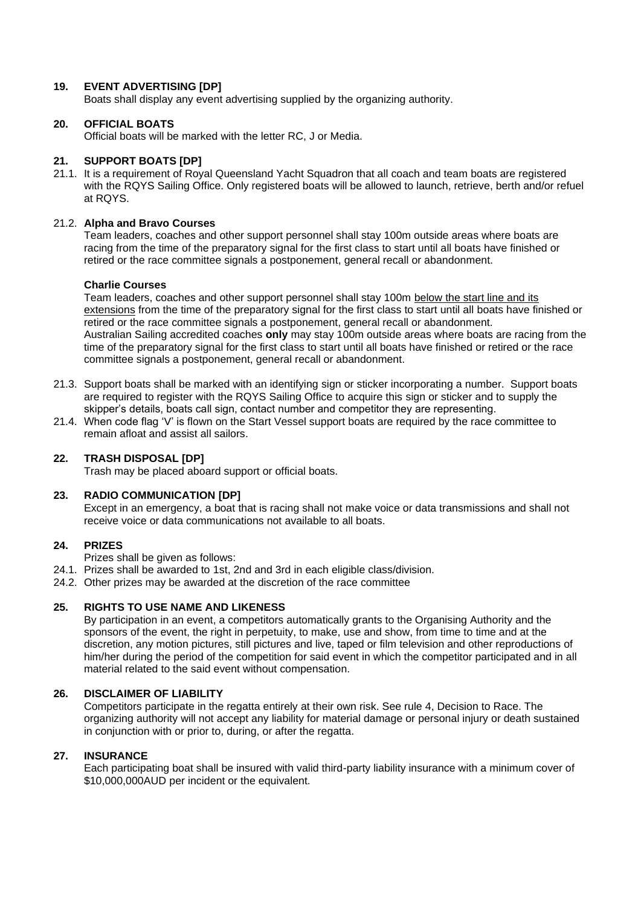#### **19. EVENT ADVERTISING [DP]**

Boats shall display any event advertising supplied by the organizing authority.

#### **20. OFFICIAL BOATS**

Official boats will be marked with the letter RC, J or Media.

#### **21. SUPPORT BOATS [DP]**

21.1. It is a requirement of Royal Queensland Yacht Squadron that all coach and team boats are registered with the RQYS Sailing Office. Only registered boats will be allowed to launch, retrieve, berth and/or refuel at RQYS.

#### 21.2. **Alpha and Bravo Courses**

Team leaders, coaches and other support personnel shall stay 100m outside areas where boats are racing from the time of the preparatory signal for the first class to start until all boats have finished or retired or the race committee signals a postponement, general recall or abandonment.

#### **Charlie Courses**

Team leaders, coaches and other support personnel shall stay 100m below the start line and its extensions from the time of the preparatory signal for the first class to start until all boats have finished or retired or the race committee signals a postponement, general recall or abandonment. Australian Sailing accredited coaches **only** may stay 100m outside areas where boats are racing from the time of the preparatory signal for the first class to start until all boats have finished or retired or the race committee signals a postponement, general recall or abandonment.

- 21.3. Support boats shall be marked with an identifying sign or sticker incorporating a number. Support boats are required to register with the RQYS Sailing Office to acquire this sign or sticker and to supply the skipper's details, boats call sign, contact number and competitor they are representing.
- 21.4. When code flag 'V' is flown on the Start Vessel support boats are required by the race committee to remain afloat and assist all sailors.

#### **22. TRASH DISPOSAL [DP]**

Trash may be placed aboard support or official boats.

#### **23. RADIO COMMUNICATION [DP]**

Except in an emergency, a boat that is racing shall not make voice or data transmissions and shall not receive voice or data communications not available to all boats.

#### **24. PRIZES**

Prizes shall be given as follows:

- 24.1. Prizes shall be awarded to 1st, 2nd and 3rd in each eligible class/division.
- 24.2. Other prizes may be awarded at the discretion of the race committee

#### **25. RIGHTS TO USE NAME AND LIKENESS**

By participation in an event, a competitors automatically grants to the Organising Authority and the sponsors of the event, the right in perpetuity, to make, use and show, from time to time and at the discretion, any motion pictures, still pictures and live, taped or film television and other reproductions of him/her during the period of the competition for said event in which the competitor participated and in all material related to the said event without compensation.

#### **26. DISCLAIMER OF LIABILITY**

Competitors participate in the regatta entirely at their own risk. See rule 4, Decision to Race. The organizing authority will not accept any liability for material damage or personal injury or death sustained in conjunction with or prior to, during, or after the regatta.

#### **27. INSURANCE**

Each participating boat shall be insured with valid third-party liability insurance with a minimum cover of \$10,000,000AUD per incident or the equivalent.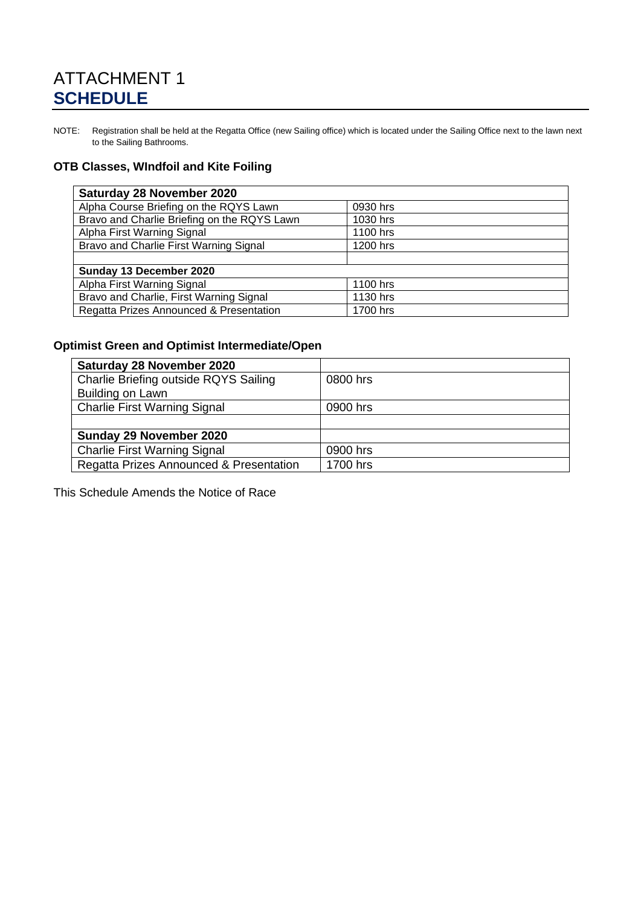# ATTACHMENT 1 **SCHEDULE**

NOTE: Registration shall be held at the Regatta Office (new Sailing office) which is located under the Sailing Office next to the lawn next to the Sailing Bathrooms.

### **OTB Classes, WIndfoil and Kite Foiling**

| Saturday 28 November 2020                           |          |  |
|-----------------------------------------------------|----------|--|
| Alpha Course Briefing on the RQYS Lawn              | 0930 hrs |  |
| Bravo and Charlie Briefing on the RQYS Lawn         | 1030 hrs |  |
| Alpha First Warning Signal                          | 1100 hrs |  |
| Bravo and Charlie First Warning Signal              | 1200 hrs |  |
|                                                     |          |  |
| Sunday 13 December 2020                             |          |  |
| Alpha First Warning Signal                          | 1100 hrs |  |
| Bravo and Charlie, First Warning Signal             | 1130 hrs |  |
| Regatta Prizes Announced & Presentation<br>1700 hrs |          |  |

### **Optimist Green and Optimist Intermediate/Open**

| <b>Saturday 28 November 2020</b>        |          |
|-----------------------------------------|----------|
| Charlie Briefing outside RQYS Sailing   | 0800 hrs |
| Building on Lawn                        |          |
| <b>Charlie First Warning Signal</b>     | 0900 hrs |
|                                         |          |
| Sunday 29 November 2020                 |          |
| <b>Charlie First Warning Signal</b>     | 0900 hrs |
| Regatta Prizes Announced & Presentation | 1700 hrs |

This Schedule Amends the Notice of Race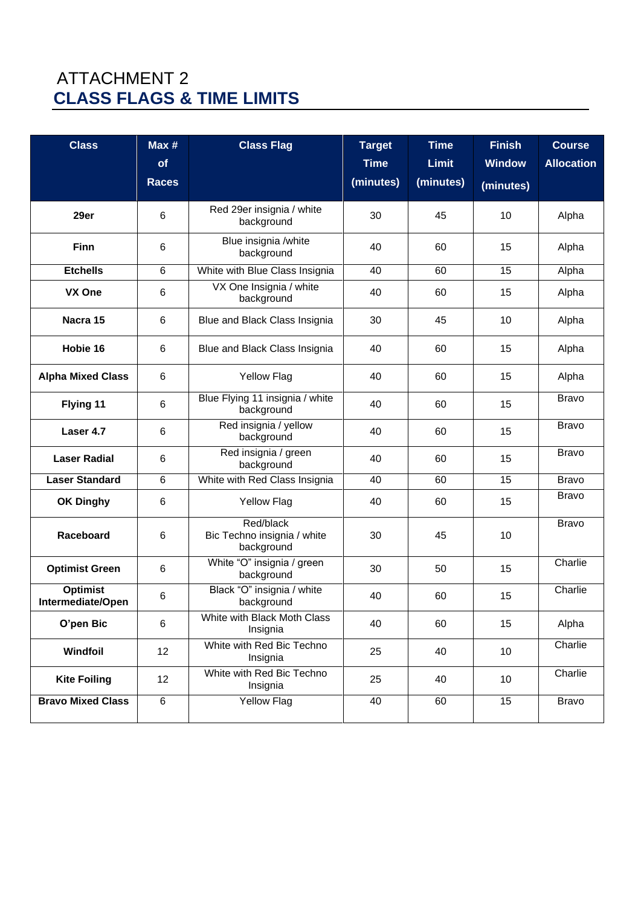# ATTACHMENT 2 **CLASS FLAGS & TIME LIMITS**

| <b>Class</b>                         | Max#<br>of<br><b>Races</b> | <b>Class Flag</b>                                      | <b>Target</b><br><b>Time</b><br>(minutes) | <b>Time</b><br><b>Limit</b><br>(minutes) | <b>Finish</b><br><b>Window</b><br>(minutes) | <b>Course</b><br><b>Allocation</b> |
|--------------------------------------|----------------------------|--------------------------------------------------------|-------------------------------------------|------------------------------------------|---------------------------------------------|------------------------------------|
| 29er                                 | $6\phantom{1}$             | Red 29er insignia / white<br>background                | 30                                        | 45                                       | 10                                          | Alpha                              |
| <b>Finn</b>                          | 6                          | Blue insignia /white<br>background                     | 40                                        | 60                                       | 15                                          | Alpha                              |
| <b>Etchells</b>                      | 6                          | White with Blue Class Insignia                         | 40                                        | 60                                       | 15                                          | Alpha                              |
| VX One                               | 6                          | VX One Insignia / white<br>background                  | 40                                        | 60                                       | 15                                          | Alpha                              |
| Nacra 15                             | 6                          | Blue and Black Class Insignia                          | 30                                        | 45                                       | 10                                          | Alpha                              |
| Hobie 16                             | 6                          | Blue and Black Class Insignia                          | 40                                        | 60                                       | 15                                          | Alpha                              |
| <b>Alpha Mixed Class</b>             | 6                          | <b>Yellow Flag</b>                                     | 40                                        | 60                                       | 15                                          | Alpha                              |
| Flying 11                            | $\,6\,$                    | Blue Flying 11 insignia / white<br>background          | 40                                        | 60                                       | 15                                          | <b>Bravo</b>                       |
| Laser 4.7                            | 6                          | Red insignia / yellow<br>background                    | 40                                        | 60                                       | 15                                          | <b>Bravo</b>                       |
| <b>Laser Radial</b>                  | 6                          | Red insignia / green<br>background                     | 40                                        | 60                                       | 15                                          | <b>Bravo</b>                       |
| <b>Laser Standard</b>                | $6\phantom{1}$             | White with Red Class Insignia                          | 40                                        | 60                                       | 15                                          | <b>Bravo</b>                       |
| <b>OK Dinghy</b>                     | 6                          | <b>Yellow Flag</b>                                     | 40                                        | 60                                       | 15                                          | <b>Bravo</b>                       |
| Raceboard                            | 6                          | Red/black<br>Bic Techno insignia / white<br>background | 30                                        | 45                                       | 10                                          | <b>Bravo</b>                       |
| <b>Optimist Green</b>                | 6                          | White "O" insignia / green<br>background               | 30                                        | 50                                       | 15                                          | Charlie                            |
| <b>Optimist</b><br>Intermediate/Open | $\,6\,$                    | Black "O" insignia / white<br>background               | 40                                        | 60                                       | 15                                          | Charlie                            |
| O'pen Bic                            | $\,6\,$                    | White with Black Moth Class<br>Insignia                | 40                                        | 60                                       | 15                                          | Alpha                              |
| Windfoil                             | 12                         | White with Red Bic Techno<br>Insignia                  | 25                                        | 40                                       | 10                                          | Charlie                            |
| <b>Kite Foiling</b>                  | 12                         | White with Red Bic Techno<br>Insignia                  | 25                                        | 40                                       | 10                                          | Charlie                            |
| <b>Bravo Mixed Class</b>             | $\overline{6}$             | <b>Yellow Flag</b>                                     | 40                                        | 60                                       | 15                                          | Bravo                              |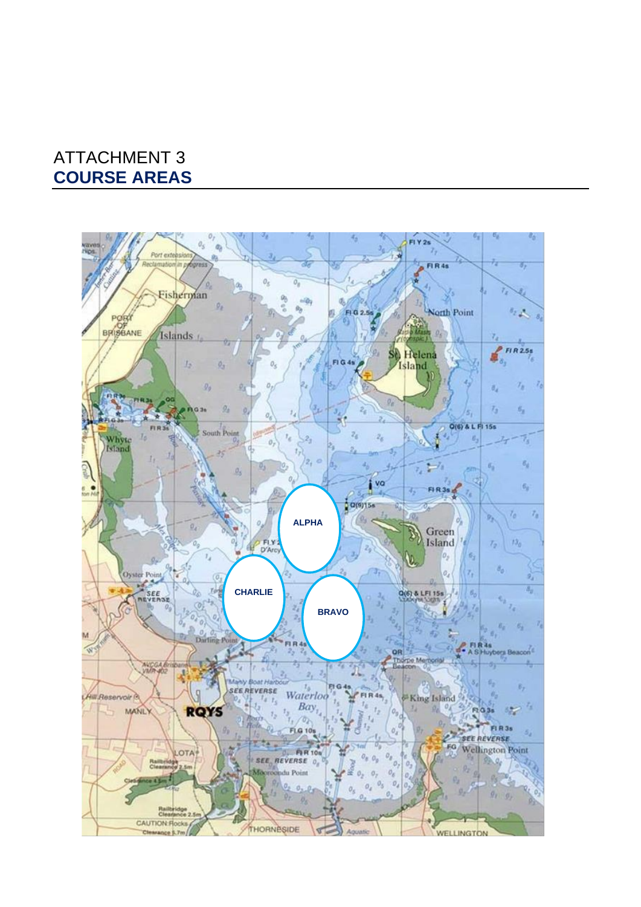# ATTACHMENT 3 **COURSE AREAS**

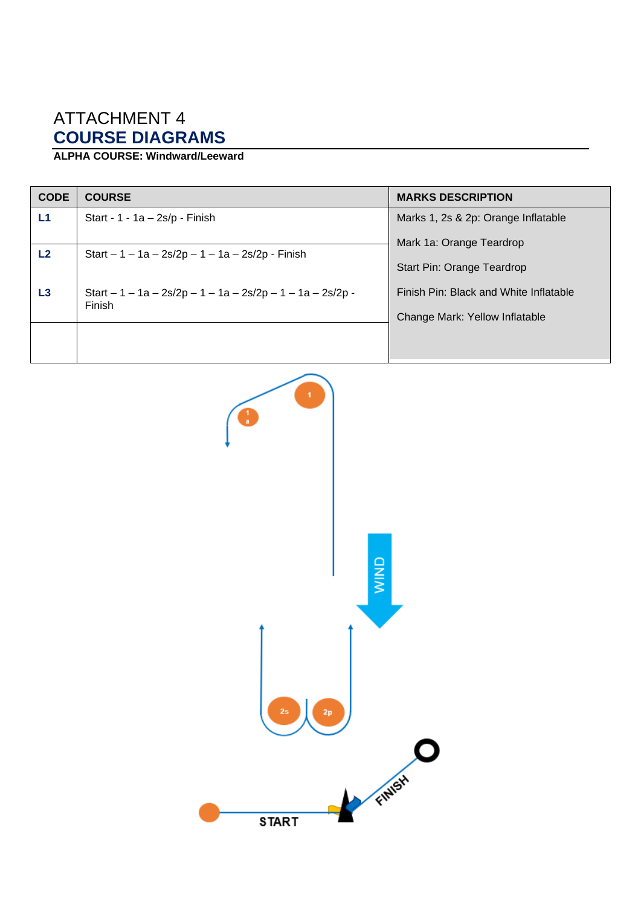# ATTACHMENT 4 **COURSE DIAGRAMS**

## **ALPHA COURSE: Windward/Leeward**

| <b>CODE</b> | <b>COURSE</b>                                                         | <b>MARKS DESCRIPTION</b>               |
|-------------|-----------------------------------------------------------------------|----------------------------------------|
| L1          | Start - $1 - 1a - 2s/p$ - Finish                                      | Marks 1, 2s & 2p: Orange Inflatable    |
| L2          | Start $-1 - 1a - 2s/2p - 1 - 1a - 2s/2p - Finish$                     | Mark 1a: Orange Teardrop               |
|             |                                                                       | Start Pin: Orange Teardrop             |
| L3          | Start $-1 - 1a - 2s/2p - 1 - 1a - 2s/2p - 1 - 1a - 2s/2p -$<br>Finish | Finish Pin: Black and White Inflatable |
|             |                                                                       | Change Mark: Yellow Inflatable         |
|             |                                                                       |                                        |
|             |                                                                       |                                        |

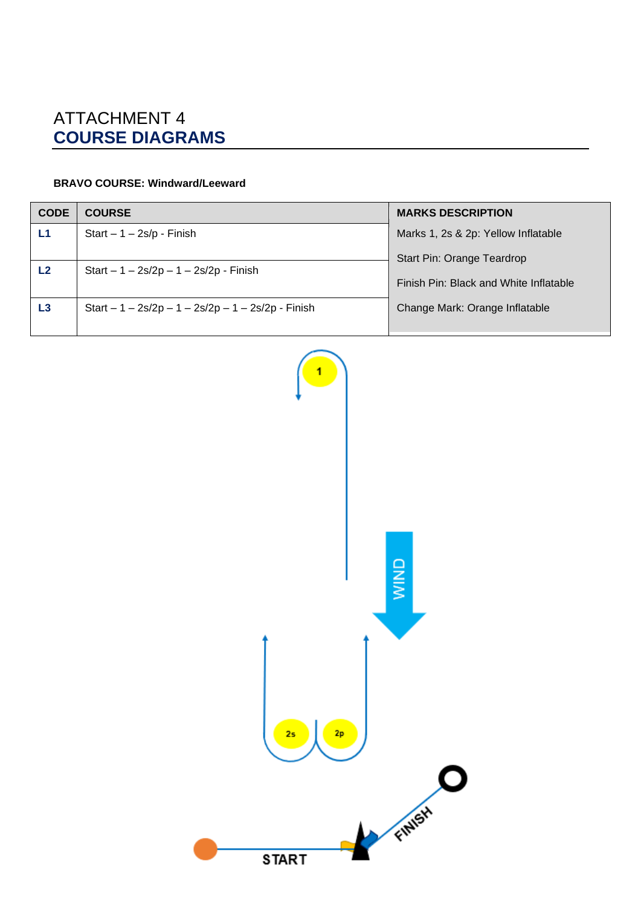# ATTACHMENT 4 **COURSE DIAGRAMS**

### **BRAVO COURSE: Windward/Leeward**

| <b>CODE</b> | <b>COURSE</b>                                       | <b>MARKS DESCRIPTION</b>               |
|-------------|-----------------------------------------------------|----------------------------------------|
| L1          | Start $-1 - 2s/p$ - Finish                          | Marks 1, 2s & 2p: Yellow Inflatable    |
| L2          | Start $-1 - 2s/2p - 1 - 2s/2p - Finish$             | Start Pin: Orange Teardrop             |
|             |                                                     | Finish Pin: Black and White Inflatable |
| L3          | Start $-1 - 2s/2p - 1 - 2s/2p - 1 - 2s/2p - Finish$ | Change Mark: Orange Inflatable         |
|             |                                                     |                                        |

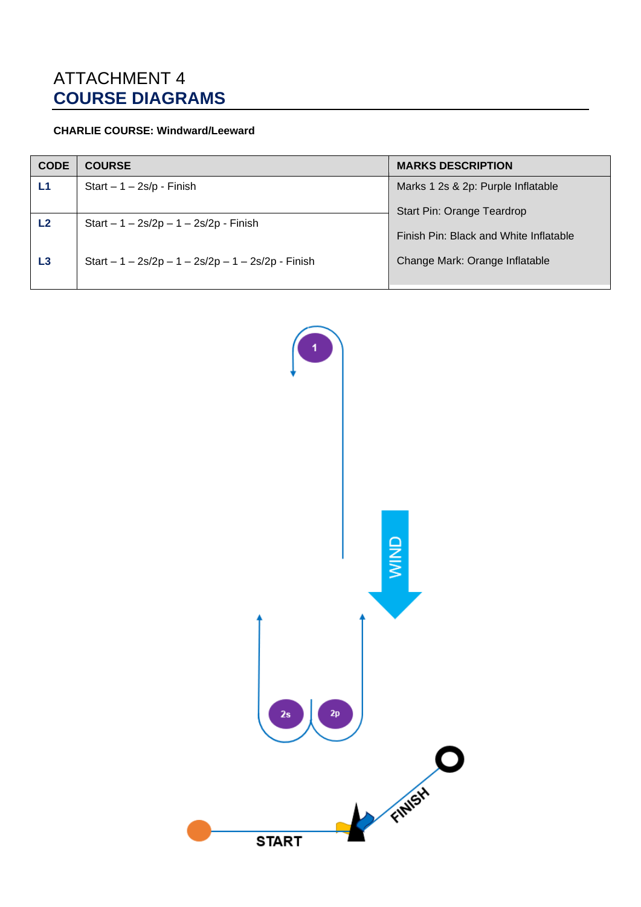# ATTACHMENT 4 **COURSE DIAGRAMS**

### **CHARLIE COURSE: Windward/Leeward**

| <b>CODE</b> | <b>COURSE</b>                                       | <b>MARKS DESCRIPTION</b>               |
|-------------|-----------------------------------------------------|----------------------------------------|
| L1          | Start $-1 - 2s/p$ - Finish                          | Marks 1 2s & 2p: Purple Inflatable     |
|             |                                                     | <b>Start Pin: Orange Teardrop</b>      |
| L2          | Start $-1 - 2s/2p - 1 - 2s/2p - F$ inish            | Finish Pin: Black and White Inflatable |
| L3          | Start $-1 - 2s/2p - 1 - 2s/2p - 1 - 2s/2p - Finish$ | Change Mark: Orange Inflatable         |